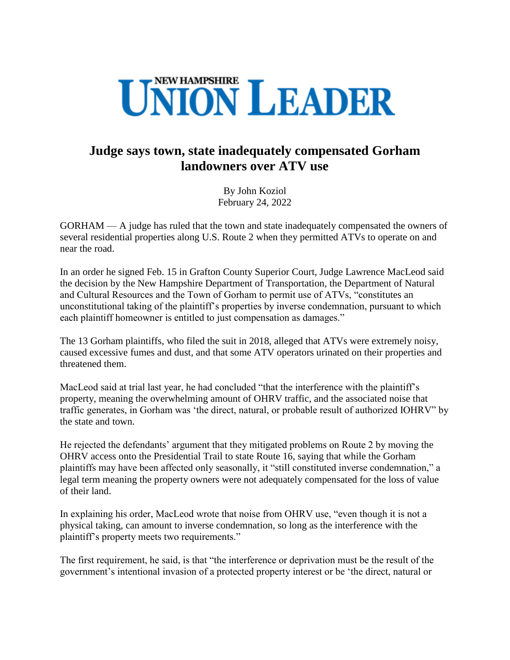

## **Judge says town, state inadequately compensated Gorham landowners over ATV use**

By John Koziol February 24, 2022

GORHAM — A judge has ruled that the town and state inadequately compensated the owners of several residential properties along U.S. Route 2 when they permitted ATVs to operate on and near the road.

In an order he signed Feb. 15 in Grafton County Superior Court, Judge Lawrence MacLeod said the decision by the New Hampshire Department of Transportation, the Department of Natural and Cultural Resources and the Town of Gorham to permit use of ATVs, "constitutes an unconstitutional taking of the plaintiff's properties by inverse condemnation, pursuant to which each plaintiff homeowner is entitled to just compensation as damages."

The 13 Gorham plaintiffs, who filed the suit in 2018, alleged that ATVs were extremely noisy, caused excessive fumes and dust, and that some ATV operators urinated on their properties and threatened them.

MacLeod said at trial last year, he had concluded "that the interference with the plaintiff's property, meaning the overwhelming amount of OHRV traffic, and the associated noise that traffic generates, in Gorham was 'the direct, natural, or probable result of authorized IOHRV" by the state and town.

He rejected the defendants' argument that they mitigated problems on Route 2 by moving the OHRV access onto the Presidential Trail to state Route 16, saying that while the Gorham plaintiffs may have been affected only seasonally, it "still constituted inverse condemnation," a legal term meaning the property owners were not adequately compensated for the loss of value of their land.

In explaining his order, MacLeod wrote that noise from OHRV use, "even though it is not a physical taking, can amount to inverse condemnation, so long as the interference with the plaintiff's property meets two requirements."

The first requirement, he said, is that "the interference or deprivation must be the result of the government's intentional invasion of a protected property interest or be 'the direct, natural or